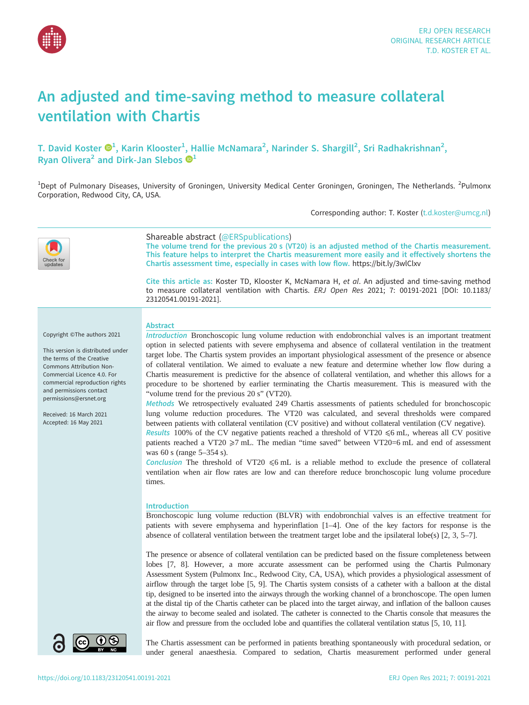

# An adjusted and time-saving method to measure collateral ventilation with Chartis

T. David Koster  $\mathbf{\Theta}^1$ , Karin Klooster $^1$ , Hallie McNamara $^2$ , Narinder S. Shargill $^2$ , Sri Radhakrishnan $^2$ , Ryan Olivera<sup>2</sup> and Dirk-Jan Slebos  $\mathbf{D}^1$ 

<sup>1</sup>Dept of Pulmonary Diseases, University of Groningen, University Medical Center Groningen, Groningen, The Netherlands. <sup>2</sup>Pulmonx Corporation, Redwood City, CA, USA.

Corresponding author: T. Koster ([t.d.koster@umcg.nl](mailto:t.d.koster@umcg.nl))



# Shareable abstract (@ERSpublications)

The volume trend for the previous 20 s (VT20) is an adjusted method of the Chartis measurement. This feature helps to interpret the Chartis measurement more easily and it effectively shortens the Chartis assessment time, especially in cases with low flow. <https://bit.ly/3wlClxv>

Cite this article as: Koster TD, Klooster K, McNamara H, et al. An adjusted and time-saving method to measure collateral ventilation with Chartis. ERJ Open Res 2021; 7: 00191-2021 [\[DOI: 10.1183/](https://doi.org/10.1183/23120541.00191-2021) [23120541.00191-2021\].](https://doi.org/10.1183/23120541.00191-2021)

Copyright ©The authors 2021

This version is distributed under the terms of the Creative Commons Attribution Non-Commercial Licence 4.0. For commercial reproduction rights and permissions contact [permissions@ersnet.org](mailto:permissions@ersnet.org)

Received: 16 March 2021 Accepted: 16 May 2021

#### Abstract

Introduction Bronchoscopic lung volume reduction with endobronchial valves is an important treatment option in selected patients with severe emphysema and absence of collateral ventilation in the treatment target lobe. The Chartis system provides an important physiological assessment of the presence or absence of collateral ventilation. We aimed to evaluate a new feature and determine whether low flow during a Chartis measurement is predictive for the absence of collateral ventilation, and whether this allows for a procedure to be shortened by earlier terminating the Chartis measurement. This is measured with the "volume trend for the previous 20 s" (VT20).

Methods We retrospectively evaluated 249 Chartis assessments of patients scheduled for bronchoscopic lung volume reduction procedures. The VT20 was calculated, and several thresholds were compared between patients with collateral ventilation (CV positive) and without collateral ventilation (CV negative).

Results 100% of the CV negative patients reached a threshold of VT20  $\leq$ 6 mL, whereas all CV positive patients reached a VT20  $\geq$ 7 mL. The median "time saved" between VT20=6 mL and end of assessment was 60 s (range 5–354 s).

Conclusion The threshold of VT20  $\leq$ 6 mL is a reliable method to exclude the presence of collateral ventilation when air flow rates are low and can therefore reduce bronchoscopic lung volume procedure times.

# Introduction

Bronchoscopic lung volume reduction (BLVR) with endobronchial valves is an effective treatment for patients with severe emphysema and hyperinflation [[1](#page-6-0)–[4](#page-6-0)]. One of the key factors for response is the absence of collateral ventilation between the treatment target lobe and the ipsilateral lobe(s) [\[2, 3](#page-6-0), [5](#page-6-0)–[7](#page-6-0)].

The presence or absence of collateral ventilation can be predicted based on the fissure completeness between lobes [\[7, 8](#page-6-0)]. However, a more accurate assessment can be performed using the Chartis Pulmonary Assessment System (Pulmonx Inc., Redwood City, CA, USA), which provides a physiological assessment of airflow through the target lobe [\[5, 9\]](#page-6-0). The Chartis system consists of a catheter with a balloon at the distal tip, designed to be inserted into the airways through the working channel of a bronchoscope. The open lumen at the distal tip of the Chartis catheter can be placed into the target airway, and inflation of the balloon causes the airway to become sealed and isolated. The catheter is connected to the Chartis console that measures the air flow and pressure from the occluded lobe and quantifies the collateral ventilation status [[5](#page-6-0), [10, 11](#page-6-0)].



The Chartis assessment can be performed in patients breathing spontaneously with procedural sedation, or under general anaesthesia. Compared to sedation, Chartis measurement performed under general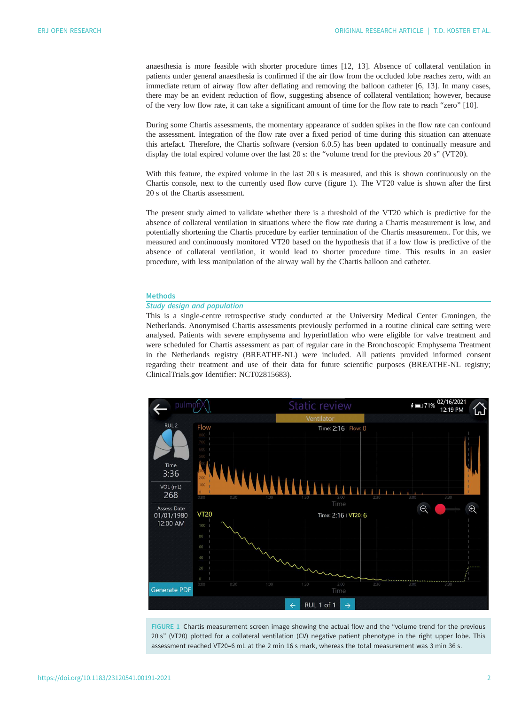<span id="page-1-0"></span>anaesthesia is more feasible with shorter procedure times [\[12](#page-6-0), [13\]](#page-6-0). Absence of collateral ventilation in patients under general anaesthesia is confirmed if the air flow from the occluded lobe reaches zero, with an immediate return of airway flow after deflating and removing the balloon catheter [[6](#page-6-0), [13\]](#page-6-0). In many cases, there may be an evident reduction of flow, suggesting absence of collateral ventilation; however, because of the very low flow rate, it can take a significant amount of time for the flow rate to reach "zero" [\[10](#page-6-0)].

During some Chartis assessments, the momentary appearance of sudden spikes in the flow rate can confound the assessment. Integration of the flow rate over a fixed period of time during this situation can attenuate this artefact. Therefore, the Chartis software (version 6.0.5) has been updated to continually measure and display the total expired volume over the last 20 s: the "volume trend for the previous 20 s" (VT20).

With this feature, the expired volume in the last 20 s is measured, and this is shown continuously on the Chartis console, next to the currently used flow curve (figure 1). The VT20 value is shown after the first 20 s of the Chartis assessment.

The present study aimed to validate whether there is a threshold of the VT20 which is predictive for the absence of collateral ventilation in situations where the flow rate during a Chartis measurement is low, and potentially shortening the Chartis procedure by earlier termination of the Chartis measurement. For this, we measured and continuously monitored VT20 based on the hypothesis that if a low flow is predictive of the absence of collateral ventilation, it would lead to shorter procedure time. This results in an easier procedure, with less manipulation of the airway wall by the Chartis balloon and catheter.

### **Methods**

# Study design and population

This is a single-centre retrospective study conducted at the University Medical Center Groningen, the Netherlands. Anonymised Chartis assessments previously performed in a routine clinical care setting were analysed. Patients with severe emphysema and hyperinflation who were eligible for valve treatment and were scheduled for Chartis assessment as part of regular care in the Bronchoscopic Emphysema Treatment in the Netherlands registry (BREATHE-NL) were included. All patients provided informed consent regarding their treatment and use of their data for future scientific purposes (BREATHE-NL registry; [ClinicalTrials.gov](https://clinicaltrials.gov/) Identifier: NCT02815683).



FIGURE 1 Chartis measurement screen image showing the actual flow and the "volume trend for the previous 20 s" (VT20) plotted for a collateral ventilation (CV) negative patient phenotype in the right upper lobe. This assessment reached VT20=6 mL at the 2 min 16 s mark, whereas the total measurement was 3 min 36 s.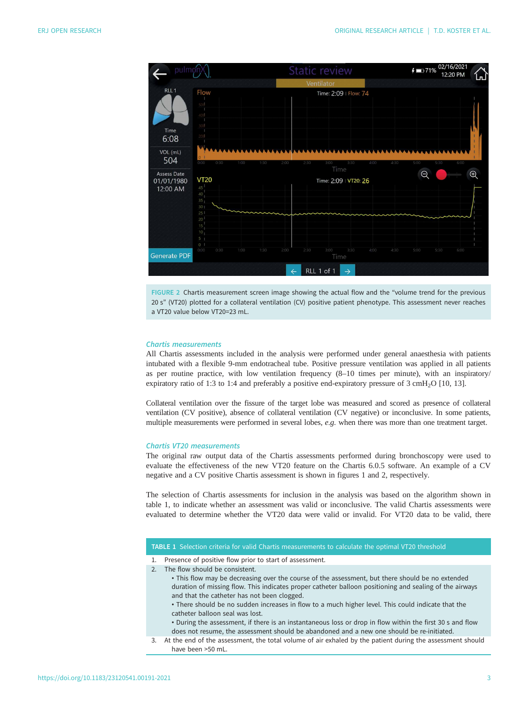

FIGURE 2 Chartis measurement screen image showing the actual flow and the "volume trend for the previous 20 s" (VT20) plotted for a collateral ventilation (CV) positive patient phenotype. This assessment never reaches a VT20 value below VT20=23 mL.

# Chartis measurements

All Chartis assessments included in the analysis were performed under general anaesthesia with patients intubated with a flexible 9-mm endotracheal tube. Positive pressure ventilation was applied in all patients as per routine practice, with low ventilation frequency (8–10 times per minute), with an inspiratory/ expiratory ratio of 1:3 to 1:4 and preferably a positive end-expiratory pressure of  $3 \text{ cm}H_2\text{O}$  [\[10](#page-6-0), [13](#page-6-0)].

Collateral ventilation over the fissure of the target lobe was measured and scored as presence of collateral ventilation (CV positive), absence of collateral ventilation (CV negative) or inconclusive. In some patients, multiple measurements were performed in several lobes, e.g. when there was more than one treatment target.

#### Chartis VT20 measurements

The original raw output data of the Chartis assessments performed during bronchoscopy were used to evaluate the effectiveness of the new VT20 feature on the Chartis 6.0.5 software. An example of a CV negative and a CV positive Chartis assessment is shown in [figures 1](#page-1-0) and 2, respectively.

The selection of Chartis assessments for inclusion in the analysis was based on the algorithm shown in table 1, to indicate whether an assessment was valid or inconclusive. The valid Chartis assessments were evaluated to determine whether the VT20 data were valid or invalid. For VT20 data to be valid, there

#### TABLE 1 Selection criteria for valid Chartis measurements to calculate the optimal VT20 threshold

- 1. Presence of positive flow prior to start of assessment.
- 2. The flow should be consistent.
	- This flow may be decreasing over the course of the assessment, but there should be no extended duration of missing flow. This indicates proper catheter balloon positioning and sealing of the airways and that the catheter has not been clogged.
	- There should be no sudden increases in flow to a much higher level. This could indicate that the catheter balloon seal was lost.
	- During the assessment, if there is an instantaneous loss or drop in flow within the first 30 s and flow does not resume, the assessment should be abandoned and a new one should be re-initiated.
- 3. At the end of the assessment, the total volume of air exhaled by the patient during the assessment should have been >50 mL.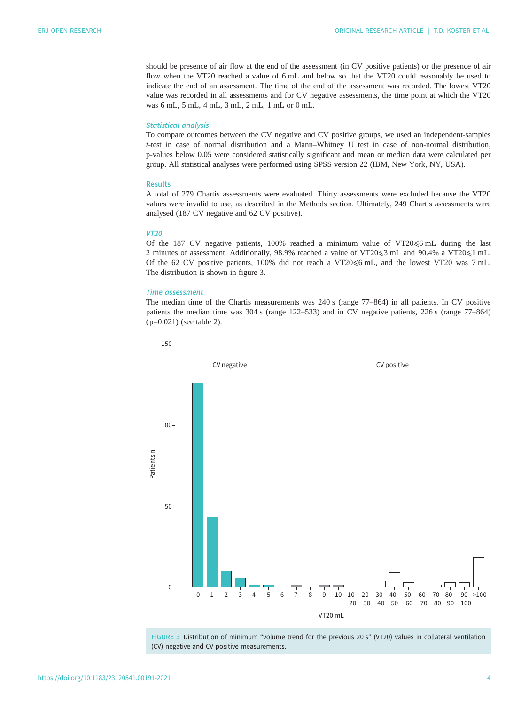should be presence of air flow at the end of the assessment (in CV positive patients) or the presence of air flow when the VT20 reached a value of 6 mL and below so that the VT20 could reasonably be used to indicate the end of an assessment. The time of the end of the assessment was recorded. The lowest VT20 value was recorded in all assessments and for CV negative assessments, the time point at which the VT20 was 6 mL, 5 mL, 4 mL, 3 mL, 2 mL, 1 mL or 0 mL.

#### Statistical analysis

To compare outcomes between the CV negative and CV positive groups, we used an independent-samples t-test in case of normal distribution and a Mann–Whitney U test in case of non-normal distribution, p-values below 0.05 were considered statistically significant and mean or median data were calculated per group. All statistical analyses were performed using SPSS version 22 (IBM, New York, NY, USA).

#### Results

A total of 279 Chartis assessments were evaluated. Thirty assessments were excluded because the VT20 values were invalid to use, as described in the Methods section. Ultimately, 249 Chartis assessments were analysed (187 CV negative and 62 CV positive).

# VT20

Of the 187 CV negative patients, 100% reached a minimum value of VT20 $\leq$ 6 mL during the last 2 minutes of assessment. Additionally, 98.9% reached a value of VT20≤3 mL and 90.4% a VT20≤1 mL. Of the 62 CV positive patients,  $100\%$  did not reach a VT20 $\leq$ 6 mL, and the lowest VT20 was 7 mL. The distribution is shown in figure 3.

#### Time assessment

The median time of the Chartis measurements was 240 s (range 77–864) in all patients. In CV positive patients the median time was 304 s (range 122–533) and in CV negative patients, 226 s (range 77–864) ( p=0.021) (see [table 2](#page-4-0)).



FIGURE 3 Distribution of minimum "volume trend for the previous 20 s" (VT20) values in collateral ventilation (CV) negative and CV positive measurements.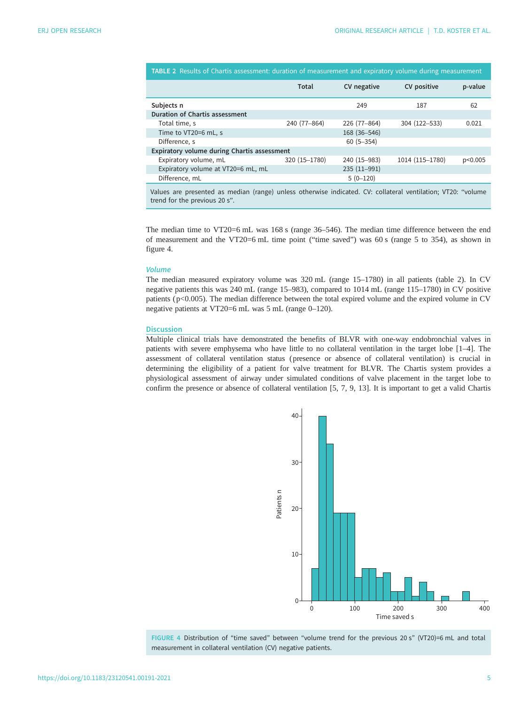<span id="page-4-0"></span>

|                                                                                                                                               | Total         | CV negative   | CV positive     | p-value |
|-----------------------------------------------------------------------------------------------------------------------------------------------|---------------|---------------|-----------------|---------|
| Subjects n                                                                                                                                    |               | 249           | 187             | 62      |
| Duration of Chartis assessment                                                                                                                |               |               |                 |         |
| Total time, s                                                                                                                                 | 240 (77-864)  | 226 (77-864)  | 304 (122-533)   | 0.021   |
| Time to VT20=6 mL, s                                                                                                                          |               | 168 (36-546)  |                 |         |
| Difference, s                                                                                                                                 |               | $60(5 - 354)$ |                 |         |
| Expiratory volume during Chartis assessment                                                                                                   |               |               |                 |         |
| Expiratory volume, mL                                                                                                                         | 320 (15-1780) | 240 (15-983)  | 1014 (115-1780) | p<0.005 |
| Expiratory volume at VT20=6 mL, mL                                                                                                            |               | 235 (11-991)  |                 |         |
| Difference, mL                                                                                                                                |               | $5(0-120)$    |                 |         |
| Values are presented as median (range) unless otherwise indicated. CV: collateral ventilation; VT20: "volume<br>trend for the previous 20 s". |               |               |                 |         |

The median time to VT20=6 mL was 168 s (range 36–546). The median time difference between the end of measurement and the VT20=6 mL time point ("time saved") was 60 s (range 5 to 354), as shown in figure 4.

#### Volume

The median measured expiratory volume was 320 mL (range 15–1780) in all patients (table 2). In CV negative patients this was 240 mL (range 15–983), compared to 1014 mL (range 115–1780) in CV positive patients ( $p<0.005$ ). The median difference between the total expired volume and the expired volume in CV negative patients at VT20=6 mL was 5 mL (range 0–120).

#### **Discussion**

Multiple clinical trials have demonstrated the benefits of BLVR with one-way endobronchial valves in patients with severe emphysema who have little to no collateral ventilation in the target lobe [[1](#page-6-0)–[4](#page-6-0)]. The assessment of collateral ventilation status ( presence or absence of collateral ventilation) is crucial in determining the eligibility of a patient for valve treatment for BLVR. The Chartis system provides a physiological assessment of airway under simulated conditions of valve placement in the target lobe to confirm the presence or absence of collateral ventilation [\[5, 7, 9](#page-6-0), [13\]](#page-6-0). It is important to get a valid Chartis





#### https://doi.org/10.1183/23120541.00191-2021 5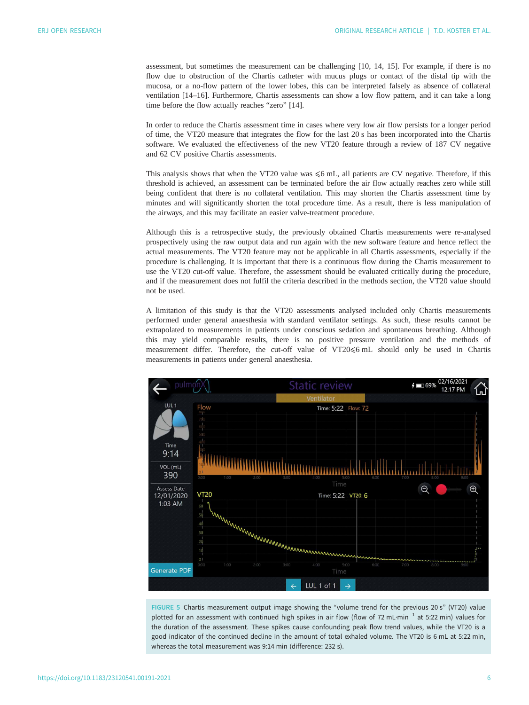<span id="page-5-0"></span>assessment, but sometimes the measurement can be challenging [[10, 14](#page-6-0), [15\]](#page-7-0). For example, if there is no flow due to obstruction of the Chartis catheter with mucus plugs or contact of the distal tip with the mucosa, or a no-flow pattern of the lower lobes, this can be interpreted falsely as absence of collateral ventilation [\[14](#page-6-0)–[16\]](#page-7-0). Furthermore, Chartis assessments can show a low flow pattern, and it can take a long time before the flow actually reaches "zero" [\[14](#page-6-0)].

In order to reduce the Chartis assessment time in cases where very low air flow persists for a longer period of time, the VT20 measure that integrates the flow for the last 20 s has been incorporated into the Chartis software. We evaluated the effectiveness of the new VT20 feature through a review of 187 CV negative and 62 CV positive Chartis assessments.

This analysis shows that when the VT20 value was  $\leq$ 6 mL, all patients are CV negative. Therefore, if this threshold is achieved, an assessment can be terminated before the air flow actually reaches zero while still being confident that there is no collateral ventilation. This may shorten the Chartis assessment time by minutes and will significantly shorten the total procedure time. As a result, there is less manipulation of the airways, and this may facilitate an easier valve-treatment procedure.

Although this is a retrospective study, the previously obtained Chartis measurements were re-analysed prospectively using the raw output data and run again with the new software feature and hence reflect the actual measurements. The VT20 feature may not be applicable in all Chartis assessments, especially if the procedure is challenging. It is important that there is a continuous flow during the Chartis measurement to use the VT20 cut-off value. Therefore, the assessment should be evaluated critically during the procedure, and if the measurement does not fulfil the criteria described in the methods section, the VT20 value should not be used.

A limitation of this study is that the VT20 assessments analysed included only Chartis measurements performed under general anaesthesia with standard ventilator settings. As such, these results cannot be extrapolated to measurements in patients under conscious sedation and spontaneous breathing. Although this may yield comparable results, there is no positive pressure ventilation and the methods of measurement differ. Therefore, the cut-off value of VT20⩽6 mL should only be used in Chartis measurements in patients under general anaesthesia.



FIGURE 5 Chartis measurement output image showing the "volume trend for the previous 20 s" (VT20) value plotted for an assessment with continued high spikes in air flow (flow of 72 mL·min−<sup>1</sup> at 5:22 min) values for the duration of the assessment. These spikes cause confounding peak flow trend values, while the VT20 is a good indicator of the continued decline in the amount of total exhaled volume. The VT20 is 6 mL at 5:22 min, whereas the total measurement was 9:14 min (difference: 232 s).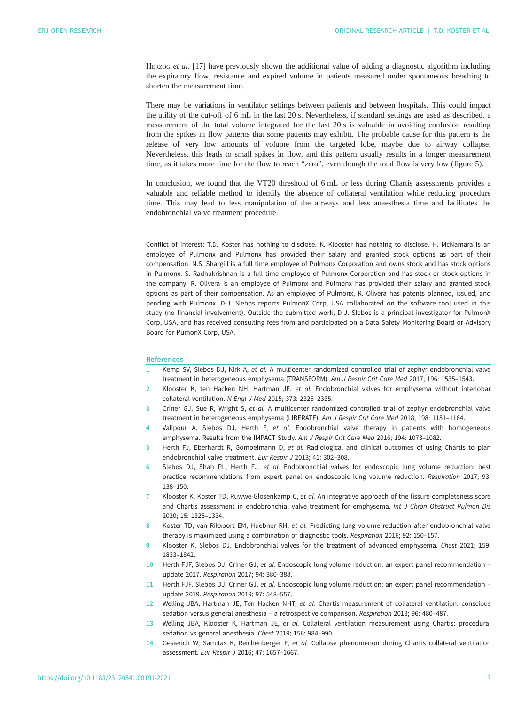<span id="page-6-0"></span>HERZOG et al. [[17\]](#page-7-0) have previously shown the additional value of adding a diagnostic algorithm including the expiratory flow, resistance and expired volume in patients measured under spontaneous breathing to shorten the measurement time.

There may be variations in ventilator settings between patients and between hospitals. This could impact the utility of the cut-off of 6 mL in the last 20 s. Nevertheless, if standard settings are used as described, a measurement of the total volume integrated for the last 20 s is valuable in avoiding confusion resulting from the spikes in flow patterns that some patients may exhibit. The probable cause for this pattern is the release of very low amounts of volume from the targeted lobe, maybe due to airway collapse. Nevertheless, this leads to small spikes in flow, and this pattern usually results in a longer measurement time, as it takes more time for the flow to reach "zero", even though the total flow is very low ([figure 5\)](#page-5-0).

In conclusion, we found that the VT20 threshold of 6 mL or less during Chartis assessments provides a valuable and reliable method to identify the absence of collateral ventilation while reducing procedure time. This may lead to less manipulation of the airways and less anaesthesia time and facilitates the endobronchial valve treatment procedure.

Conflict of interest: T.D. Koster has nothing to disclose. K. Klooster has nothing to disclose. H. McNamara is an employee of Pulmonx and Pulmonx has provided their salary and granted stock options as part of their compensation. N.S. Shargill is a full time employee of Pulmonx Corporation and owns stock and has stock options in Pulmonx. S. Radhakrishnan is a full time employee of Pulmonx Corporation and has stock or stock options in the company. R. Olivera is an employee of Pulmonx and Pulmonx has provided their salary and granted stock options as part of their compensation. As an employee of Pulmonx, R. Olivera has patents planned, issued, and pending with Pulmonx. D-J. Slebos reports PulmonX Corp, USA collaborated on the software tool used in this study (no financial involvement). Outside the submitted work, D-J. Slebos is a principal investigator for PulmonX Corp, USA, and has received consulting fees from and participated on a Data Safety Monitoring Board or Advisory Board for PumonX Corp, USA.

#### References

- 1 Kemp SV, Slebos DJ, Kirk A, et al. A multicenter randomized controlled trial of zephyr endobronchial valve treatment in heterogeneous emphysema (TRANSFORM). Am J Respir Crit Care Med 2017; 196: 1535–1543.
- 2 Klooster K, ten Hacken NH, Hartman JE, et al. Endobronchial valves for emphysema without interlobar collateral ventilation. N Engl J Med 2015; 373: 2325–2335.
- 3 Criner GJ, Sue R, Wright S, et al. A multicenter randomized controlled trial of zephyr endobronchial valve treatment in heterogeneous emphysema (LIBERATE). Am J Respir Crit Care Med 2018; 198: 1151–1164.
- 4 Valipour A, Slebos DJ, Herth F, et al. Endobronchial valve therapy in patients with homogeneous emphysema. Results from the IMPACT Study. Am J Respir Crit Care Med 2016; 194: 1073–1082.
- 5 Herth FJ, Eberhardt R, Gompelmann D, et al. Radiological and clinical outcomes of using Chartis to plan endobronchial valve treatment. Eur Respir J 2013; 41: 302–308.
- 6 Slebos DJ, Shah PL, Herth FJ, et al. Endobronchial valves for endoscopic lung volume reduction: best practice recommendations from expert panel on endoscopic lung volume reduction. Respiration 2017; 93: 138–150.
- 7 Klooster K, Koster TD, Ruwwe-Glosenkamp C, et al. An integrative approach of the fissure completeness score and Chartis assessment in endobronchial valve treatment for emphysema. Int J Chron Obstruct Pulmon Dis 2020; 15: 1325–1334.
- 8 Koster TD, van Rikxoort EM, Huebner RH, et al. Predicting lung volume reduction after endobronchial valve therapy is maximized using a combination of diagnostic tools. Respiration 2016; 92: 150–157.
- 9 Klooster K, Slebos DJ. Endobronchial valves for the treatment of advanced emphysema. Chest 2021; 159: 1833–1842.
- 10 Herth FJF, Slebos DJ, Criner GJ, et al. Endoscopic lung volume reduction: an expert panel recommendation update 2017. Respiration 2017; 94: 380–388.
- 11 Herth FJF, Slebos DJ, Criner GJ, et al. Endoscopic lung volume reduction: an expert panel recommendation update 2019. Respiration 2019; 97: 548–557.
- 12 Welling JBA, Hartman JE, Ten Hacken NHT, et al. Chartis measurement of collateral ventilation: conscious sedation versus general anesthesia – a retrospective comparison. Respiration 2018; 96: 480–487.
- 13 Welling JBA, Klooster K, Hartman JE, et al. Collateral ventilation measurement using Chartis: procedural sedation vs general anesthesia. Chest 2019; 156: 984–990.
- 14 Gesierich W, Samitas K, Reichenberger F, et al. Collapse phenomenon during Chartis collateral ventilation assessment. Eur Respir J 2016; 47: 1657–1667.